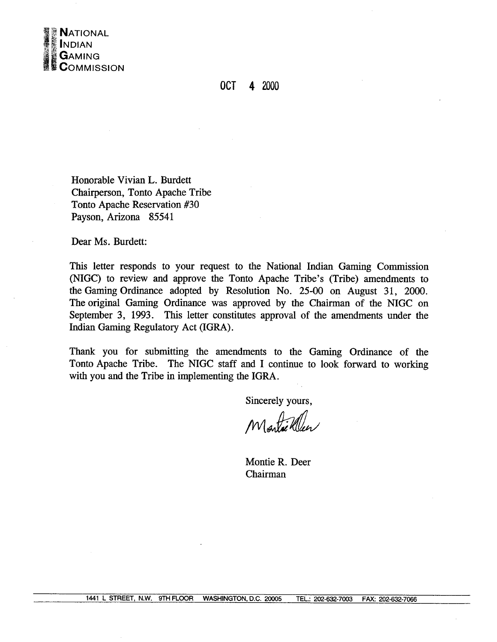

## OCT 4 2000

Honorable Vivian L. Burdett Chairperson, Tonto Apache Tribe Tonto Apache Reservation #30 Payson, Arizona 85541

Dear Ms. Burdett:

This letter responds to your request to the National Indian Gaming Commission (NIGC) to review and approve the Tonto Apache Tribe's (Tribe) amendments to the Gaming Ordinance adopted by Resolution No. 25-00 on August 31, 2000. The original Gaming Ordinance was approved by the Chairman of the NIGC on September 3, 1993. This letter constitutes approval of the amendments under the Indian Gaming Regulatory Act (IGRA).

Thank you for submitting the amendments to the Gaming Ordinance of the Tonto Apache Tribe. The NIGC staff and I continue to look forward to working with you and the Tribe in implementing the IGRA.

Sincerely yours,

Montae Ween

Montie R. Deer Chairman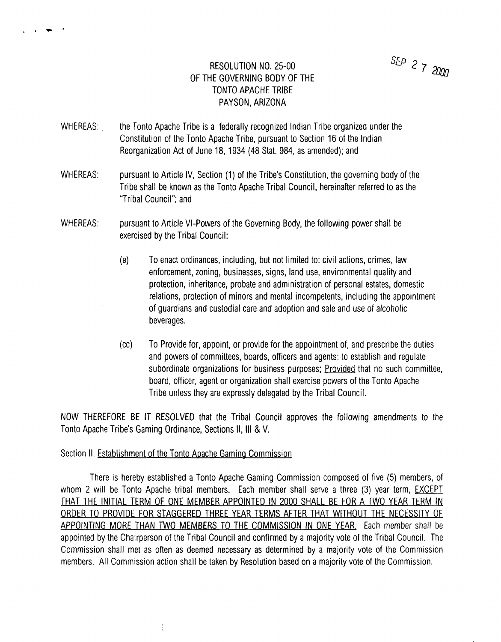## **RESOLUTION NO. 25-00 ~° <sup>2</sup> <sup>~</sup> <sup>20</sup> 00 OF THE GOVERNING BODY OF THE TONTO APACHE TRIBE PAYSON, ARIZONA**

**WHEREAS: the Tonto Apache Tribe is <sup>a</sup> federally recognized Indian Tribe organized under the Constitution of the Tonto Apache Tribe, pursuant to Section 16 of the Indian Reorganization Act of June 18, 1934 (48 Stat. 984, as amended); and**

 $\mathcal{L}$  , and the set of  $\mathcal{L}$ 

- **WHEREAS: pursuant to Article IV, Section (1) of the Tribes Constitution, the governing body of the Tribe shall be known as the Tonto Apache Tribal Council, hereinafter referred to as the Tribal Council; and**
- **WHEREAS: pursuant to Article VI-Powers of the Governing Body, the following power shall be exercised by the Tribal Council:**
	- **(e) To enact ordinances, including, but not limited to: civil actions, crimes, law enforcement, zoning, businesses, signs, land use, environmental quality and protection, inheritance, probate and administration of personal estates, domestic relations, protection of minors and mental incompetents, including the appointment of guardians and custodial care and adoption and sale and use of alcoholic beverages.**
	- **(cc) To Provide for, appoint, or provide for the appointment of, and prescribe the duties and powers of committees, boards, officers and agents: to establish and regulate subordinate organizations for business purposes; Provided that no such committee, board, officer, agent or organization shall exercise powers of the Tonto Apache Tribe unless they are expressly delegated by the Tribal Council.**

**NOW THEREFORE BE IT RESOLVED that the Tribal Council approves the following amendments to the Tonto Apache Tribe's Gaming Ordinance, Sections II, III & V.** 

## **Section II. Establishment of the Tonto Apache Gaming Commission**

**There is hereby established <sup>a</sup> Tonto Apache Gaming Commission composed of five (5) members, of whom <sup>2</sup> will be Tonto Apache tribal members. Each member shall serve <sup>a</sup> three (3) year term, EXCEPT THAT THE INITIAL TERM OF ONE MEMBER APPOINTED IN 2000 SHALL BE FOR A TWO YEAR TERM IN ORDER TO PROVIDE FOR STAGGERED THREE YEAR TERMS AFTER THAT WITHOUT THE NECESSITY OF APPOINTING MORE THAN TWO MEMBERS TO THE COMMISSION IN ONE YEAR Each member shall be** appointed by the Chairperson of the Tribal Council and confirmed by a majority vote of the Tribal Council. The **Commission shall met as often as deemed necessary as determined by <sup>a</sup> majority vote of the Commission members. All Commission action shall be taken by Resolution based on <sup>a</sup> majority vote of the Commission.**